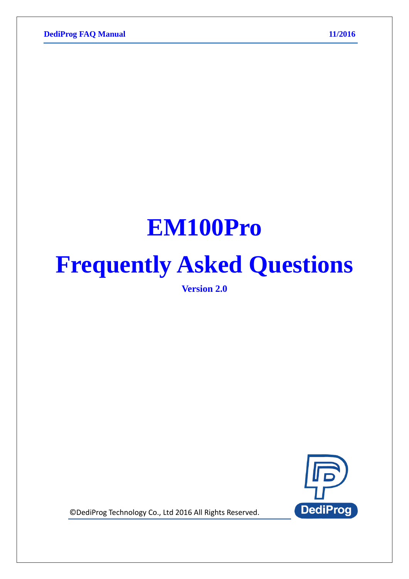# **EM100Pro**

# **Frequently Asked Questions**

**Version 2.0**



© DediProg Technology Co., Ltd 2016 All Rights Reserved.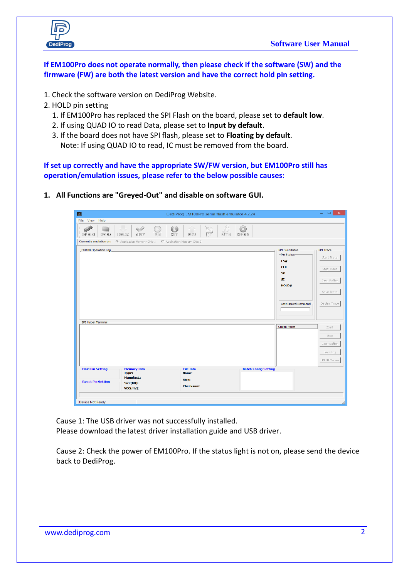



**If EM100Pro does not operate normally, then please check if the software (SW) and the firmware (FW) are both the latest version and have the correct hold pin setting.**

- 1. Check the software version on DediProg Website.
- 2. HOLD pin setting
	- 1. If EM100Pro has replaced the SPI Flash on the board, please set to **default low**.
	- 2. If using QUAD IO to read Data, please set to **Input by default**.
	- 3. If the board does not have SPI flash, please set to **Floating by default**. Note: If using QUAD IO to read, IC must be removed from the board.

**If set up correctly and have the appropriate SW/FW version, but EM100Pro still has operation/emulation issues, please refer to the below possible causes:**

**1. All Functions are "Greyed-Out" and disable on software GUI.**

| $\mathbb{R}$                                                                                                                                                          | DediProg EM100Pro serial flash emulator 4.2.24                                              | $\propto$<br>$ -$                                                                                                                                                                              |
|-----------------------------------------------------------------------------------------------------------------------------------------------------------------------|---------------------------------------------------------------------------------------------|------------------------------------------------------------------------------------------------------------------------------------------------------------------------------------------------|
| File View Help                                                                                                                                                        |                                                                                             |                                                                                                                                                                                                |
| $\circ$<br>$\blacklozenge$<br><b>Contract Contract Contract</b><br>マース<br>OPEN FILE<br>VERIFY<br>RUN<br>STOP<br>CHIP SELECT<br><b>ODWNLDAD</b>                        | 0<br>f P<br>UPLOAD<br>EDIT<br>CONFIGURE<br>BATCH                                            |                                                                                                                                                                                                |
| C Application Memory Chip 1 C Application Memory Chip 2<br>Currently emulation on:                                                                                    |                                                                                             |                                                                                                                                                                                                |
| EM100 Operation Log                                                                                                                                                   |                                                                                             | <b>SPI Bus Status</b><br>SPI Trace<br>Pin Status<br>Start Trace<br>CS#<br><b>CLK</b><br>Stop Trace<br>50<br>SI<br>Clear Buffer<br>HOLD#<br>Save Trace<br>Display Trace<br>-Last Issued Command |
| -SPI Hyper Terminal                                                                                                                                                   |                                                                                             |                                                                                                                                                                                                |
|                                                                                                                                                                       |                                                                                             | <b>Check Point</b><br>Start<br>Stop<br>Clear Buffer<br>Save Log<br>SPI HT Viewer                                                                                                               |
| <b>Hold Pin Setting</b><br><b>Memory Info</b><br><b>Type:</b><br><b>Manufact.:</b><br><b>Reset Pin Setting</b><br>Size(KB):<br>$VCC(mV)$ :<br><b>Device Not Ready</b> | <b>File Info</b><br><b>Batch Config Setting</b><br><b>Name</b><br>Size:<br><b>Checksum:</b> |                                                                                                                                                                                                |

Cause 1: The USB driver was not successfully installed. Please download the latest driver installation guide and USB driver.

Cause 2: Check the power of EM100Pro. If the status light is not on, please send the device back to DediProg.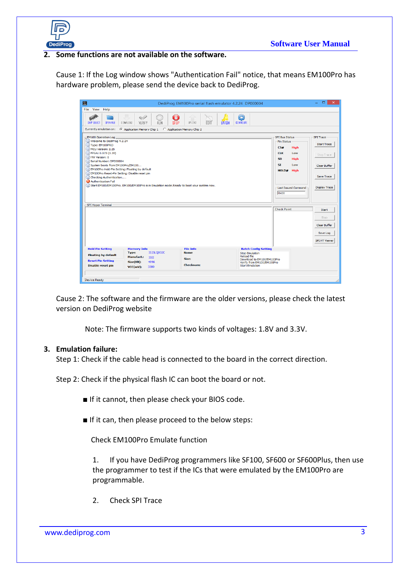

### **2. Some functions are not available on the software.**

Cause 1: If the Log window shows "Authentication Fail" notice, that means EM100Pro has hardware problem, please send the device back to DediProg.

| 圖                                                                                                                                                                                                                                                                                                                                                                                                                                                                                            | DediProg EM100Pro serial flash emulator 4.2.24 DP000004       |                                                                                                                                                                                | $\mathbf{x}$<br>$\Box$                                                                                     |
|----------------------------------------------------------------------------------------------------------------------------------------------------------------------------------------------------------------------------------------------------------------------------------------------------------------------------------------------------------------------------------------------------------------------------------------------------------------------------------------------|---------------------------------------------------------------|--------------------------------------------------------------------------------------------------------------------------------------------------------------------------------|------------------------------------------------------------------------------------------------------------|
| File<br><b>View</b><br>Help                                                                                                                                                                                                                                                                                                                                                                                                                                                                  |                                                               |                                                                                                                                                                                |                                                                                                            |
| $\blacklozenge$<br><b>OPEN FILE</b><br>VERIFY<br><b>CHIP SELECT</b><br><b>DOWNLOAD</b>                                                                                                                                                                                                                                                                                                                                                                                                       | $\mathbf{u}_i$<br>STDP<br><b>FDIT</b><br><b>RUN</b><br>UPLOAD | ٥<br><b>CONFIGURE</b><br><b>BATCH</b>                                                                                                                                          |                                                                                                            |
| Currently emulation on:                                                                                                                                                                                                                                                                                                                                                                                                                                                                      | C Application Memory Chip 1 C Application Memory Chip 2       |                                                                                                                                                                                |                                                                                                            |
| -EM100 Operation Log<br>(i) Welcome to DediProg 4.2.24<br>(i) Type: EM100PRO<br>(i) MCU Version: 2.25<br>(i) FPGA: 0.073 (3.3V)<br>(i) HW Version: 0<br>(i) Serial Number: DP000004<br>(i) System boots from EM100Pro/EM100<br>(i) EM100Pro Hold-Pin Setting: Floating by default<br>(i) EM100Pro Reset-Pin Setting: Disable reset pin<br>(i) Checking Authentication<br>Authentication Fail<br>(i) Start EM100/EM100Pro. EM100/EM100Pro is in Emulation mode.Ready to boot your system now. |                                                               | <b>SPI Bus Status</b><br>Pin Status<br>CS#<br><b>High</b><br><b>CLK</b><br>Low<br><b>SO</b><br><b>High</b><br>ST<br>Low<br>HOLD#<br><b>High</b><br>Last Issued Command<br>0x00 | <b>SPI Trace</b><br><b>Start Trace</b><br>Stop Trace<br>Clear Buffer<br>Save Trace<br><b>Display Trace</b> |
| SPI Hyper Terminal                                                                                                                                                                                                                                                                                                                                                                                                                                                                           |                                                               | <b>Check Point</b>                                                                                                                                                             | <b>Start</b><br>Stop<br>Clear Buffer<br>Save Log<br><b>SPI HT Viewer</b>                                   |
| <b>Hold Pin Setting</b><br><b>Memory Info</b>                                                                                                                                                                                                                                                                                                                                                                                                                                                | <b>File Info</b>                                              | <b>Batch Config Setting</b>                                                                                                                                                    |                                                                                                            |
| <b>Type:</b><br><b>Floating by default</b><br><b>Manufact.:</b>                                                                                                                                                                                                                                                                                                                                                                                                                              | <b>IS25LQ032C</b><br><b>Name:</b><br><b>ISSI</b>              | <b>Stop Emulation</b><br>Reload file                                                                                                                                           |                                                                                                            |
| <b>Reset Pin Setting</b><br>Size(KB):<br><b>Disable reset pin</b><br>$VCC(mV)$ :                                                                                                                                                                                                                                                                                                                                                                                                             | Size:<br>4096<br><b>Checksum:</b><br>3300                     | Download to EM100/EM100Pro<br>Verify from EM100/EM100Pro<br><b>Start Emulation</b>                                                                                             |                                                                                                            |
| <b>Device Ready</b>                                                                                                                                                                                                                                                                                                                                                                                                                                                                          |                                                               |                                                                                                                                                                                |                                                                                                            |

Cause 2: The software and the firmware are the older versions, please check the latest version on DediProg website

Note: The firmware supports two kinds of voltages: 1.8V and 3.3V.

#### **3. Emulation failure:**

Step 1: Check if the cable head is connected to the board in the correct direction.

Step 2: Check if the physical flash IC can boot the board or not.

- If it cannot, then please check your BIOS code.
- If it can, then please proceed to the below steps:

Check EM100Pro Emulate function

1. If you have DediProg programmers like SF100, SF600 or SF600Plus, then use the programmer to test if the ICs that were emulated by the EM100Pro are programmable.

2. Check SPI Trace

www.dediprog.com 3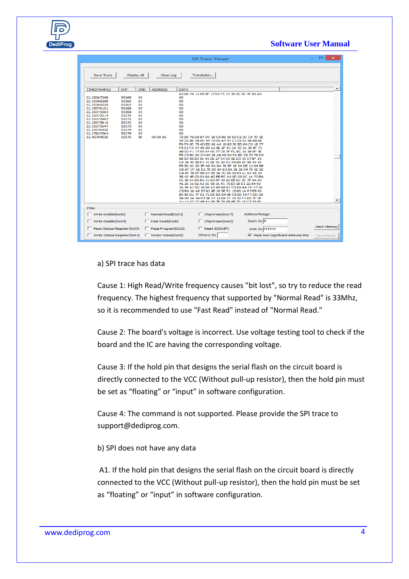### **Software User Manual**

|                                                                                                                                                                                                                                                                                                                                                                             |                                                                                          | <b>SPI Trace Viewer</b>                                                                                                                                                                                                                                                                                                                                                                                                                                                                                                                                                                                                                                                                                                                                                                                                                                                                                                                                                                                                                                   | ▭<br>$\times$            |
|-----------------------------------------------------------------------------------------------------------------------------------------------------------------------------------------------------------------------------------------------------------------------------------------------------------------------------------------------------------------------------|------------------------------------------------------------------------------------------|-----------------------------------------------------------------------------------------------------------------------------------------------------------------------------------------------------------------------------------------------------------------------------------------------------------------------------------------------------------------------------------------------------------------------------------------------------------------------------------------------------------------------------------------------------------------------------------------------------------------------------------------------------------------------------------------------------------------------------------------------------------------------------------------------------------------------------------------------------------------------------------------------------------------------------------------------------------------------------------------------------------------------------------------------------------|--------------------------|
| <b>Save Trace</b><br><b>Display All</b>                                                                                                                                                                                                                                                                                                                                     | Clear Log                                                                                | Translation                                                                                                                                                                                                                                                                                                                                                                                                                                                                                                                                                                                                                                                                                                                                                                                                                                                                                                                                                                                                                                               |                          |
|                                                                                                                                                                                                                                                                                                                                                                             |                                                                                          |                                                                                                                                                                                                                                                                                                                                                                                                                                                                                                                                                                                                                                                                                                                                                                                                                                                                                                                                                                                                                                                           |                          |
| TIMESTAMP(s)<br><b>CNT</b>                                                                                                                                                                                                                                                                                                                                                  | CMD<br><b>ADDRESS</b>                                                                    | <b>DATA</b>                                                                                                                                                                                                                                                                                                                                                                                                                                                                                                                                                                                                                                                                                                                                                                                                                                                                                                                                                                                                                                               |                          |
| 05<br>22.25367358<br>53265<br>22.25368289<br>53266<br>05<br>22.25369220<br>53267<br>05<br>22.25370151<br>53268<br>05<br>22.25371083<br>53269<br>05<br>22.25372014<br>53270<br>05<br>22.25372887<br>53271<br>05<br>22.25373819<br>53272<br>05<br>22.25375547<br>53273<br>05<br>22.25376420<br>53274<br>05<br>22.27837364<br>53275<br>05<br>22.45784526<br><b>OB</b><br>53276 | 00<br><b>OO</b><br><b>OO</b><br>oo<br>00<br>00<br>00<br>00<br>00<br>00<br>oo<br>00 00 00 | 63 B8 7A 11 08 BF 17 63 F5 37 1B 0C 6C 5F 85 A5<br>72 B0 79 D8 87 DC 1B C0 8B 19 82 C2 3C C9 7D 3E<br>59 CE BE 5A EE 44 72 D6 A7 97 C7 02 51 0B B8 6E<br>F6 F9 0D 75 AD ED 66 AA 10 63 50 BD 64 C0 18 77<br>F9 E5 FA 47 45 DD 62 9E 2F 03 3A 7D 31 39 9F 71<br>AB 02 F1 77 90 84 06 77 CB 5F FC BC 16 5B 8F 3E<br>F8 C5 BC 0C D4 90 36 A8 A0 94 FA BD 25 74 76 D9<br>88 83 98 B3 56 41 AE 27 64 C0 0E D3 35 07 BF 24<br>C6 38 40 9B E1 32 8E 36 5D D3 99 B8 6F 9B 43 39<br>F8 5C 82 3D 5F AD EA BA 70 5F 1B 5A DE 12 D6 BB<br>C8 AF CF AE E2 7B DD 8A B3 6A 38 28 04 70 5E 26<br>DA 8F 48 EF BB B3 98 3A 7C B8 50 E9 61 B2 58 1D<br>58 42 4E C0 04 8A 6D EE EC A4 0D 09 0C 1A 73 BA<br>02 46 94 6A B0 24 69 AF 08 69 EE 62 3D 7F 9A 64<br>41 26 31 92 A3 60 58 31 41 75 E0 1B E1 22 84 93<br>36 48 A7 0D 38 B0 62 A9 88 B7 C9 E8 AA F6 47 30<br>C5 BA 00 A8 57 62 8E 20 5E F2 15 65 1A F7 E5 53<br>B0 86 D2 7F 01 72 DD BA 64 8B C9 E0 14 F7 DD 24<br>9A 00 5A 4A E4 5B 54 12 68 57 19 30 F4 ED 3F 9F<br>A 1 14 00 00 48 44 00 70 70 45 49 70 19 07 22 00 | $\overline{\phantom{a}}$ |
| -Filter                                                                                                                                                                                                                                                                                                                                                                     |                                                                                          |                                                                                                                                                                                                                                                                                                                                                                                                                                                                                                                                                                                                                                                                                                                                                                                                                                                                                                                                                                                                                                                           |                          |
| $\Box$ Write Enable(0x06)                                                                                                                                                                                                                                                                                                                                                   | $\Box$ Normal Read(0x03)                                                                 | Address Range:<br>$\Box$ Chip Erase(0xC7)                                                                                                                                                                                                                                                                                                                                                                                                                                                                                                                                                                                                                                                                                                                                                                                                                                                                                                                                                                                                                 |                          |
| $\Box$ Write Disable (0x04)                                                                                                                                                                                                                                                                                                                                                 | $\Box$ Fast Read(0x0B)                                                                   | Start: $0x 0$<br>$\Box$ Chip Erase(0x60)                                                                                                                                                                                                                                                                                                                                                                                                                                                                                                                                                                                                                                                                                                                                                                                                                                                                                                                                                                                                                  | <b>Start Filtering</b>   |
| $\Box$ Read Status Register (0x05)                                                                                                                                                                                                                                                                                                                                          | $\Box$ Page Program(0x02)                                                                | $\Box$ Read ID(0x9F)<br>End: 0x FFFFFFF                                                                                                                                                                                                                                                                                                                                                                                                                                                                                                                                                                                                                                                                                                                                                                                                                                                                                                                                                                                                                   |                          |
| $\Box$ Write Status Register (0x01)                                                                                                                                                                                                                                                                                                                                         | Sector Erase(0xD8)                                                                       | Mask Non Significant Address Bits<br>Others: 0x                                                                                                                                                                                                                                                                                                                                                                                                                                                                                                                                                                                                                                                                                                                                                                                                                                                                                                                                                                                                           | Save Result              |

#### a) SPI trace has data

Cause 1: High Read/Write frequency causes "bit lost", so try to reduce the read frequency. The highest frequency that supported by "Normal Read" is 33Mhz, so it is recommended to use "Fast Read" instead of "Normal Read."

Cause 2: The board's voltage is incorrect. Use voltage testing tool to check if the board and the IC are having the corresponding voltage.

Cause 3: If the hold pin that designs the serial flash on the circuit board is directly connected to the VCC (Without pull-up resistor), then the hold pin must be set as "floating" or "input" in software configuration.

Cause 4: The command is not supported. Please provide the SPI trace to support@dediprog.com.

b) SPI does not have any data

A1. If the hold pin that designs the serial flash on the circuit board is directly connected to the VCC (Without pull-up resistor), then the hold pin must be set as "floating" or "input" in software configuration.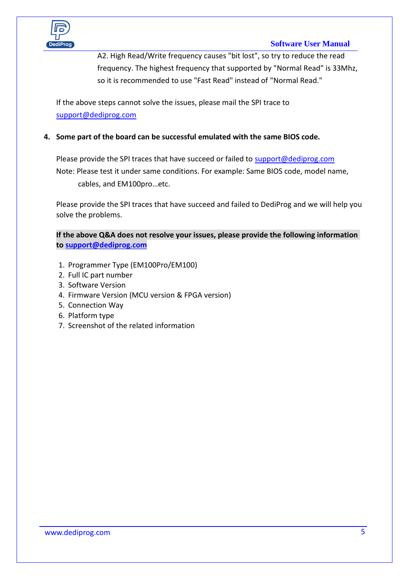

## **Software User Manual**

A2. High Read/Write frequency causes "bit lost", so try to reduce the read frequency. The highest frequency that supported by "Normal Read" is 33Mhz, so it is recommended to use "Fast Read" instead of "Normal Read."

If the above steps cannot solve the issues, please mail the SPI trace to [support@dediprog.com](mailto:support@dediprog.com)

## **4. Some part of the board can be successful emulated with the same BIOS code.**

Please provide the SPI traces that have succeed or failed t[o support@dediprog.com](mailto:support@dediprog.com) Note: Please test it under same conditions. For example: Same BIOS code, model name, cables, and EM100pro…etc.

Please provide the SPI traces that have succeed and failed to DediProg and we will help you solve the problems.

**If the above Q&A does not resolve your issues, please provide the following information to [support@dediprog.com](mailto:support@dediprog.com)**

- 1. Programmer Type (EM100Pro/EM100)
- 2. Full IC part number
- 3. Software Version
- 4. Firmware Version (MCU version & FPGA version)
- 5. Connection Way
- 6. Platform type
- 7. Screenshot of the related information